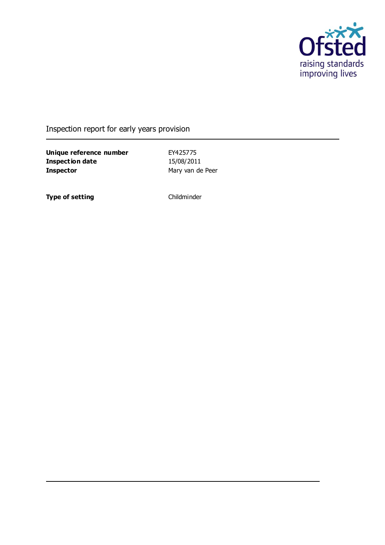

### Inspection report for early years provision

**Unique reference number** EY425775<br> **Inspection date** 15/08/2011 **Inspection date Inspector** Mary van de Peer

**Type of setting** Childminder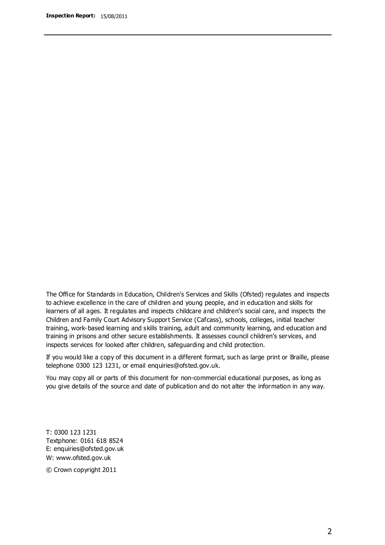The Office for Standards in Education, Children's Services and Skills (Ofsted) regulates and inspects to achieve excellence in the care of children and young people, and in education and skills for learners of all ages. It regulates and inspects childcare and children's social care, and inspects the Children and Family Court Advisory Support Service (Cafcass), schools, colleges, initial teacher training, work-based learning and skills training, adult and community learning, and education and training in prisons and other secure establishments. It assesses council children's services, and inspects services for looked after children, safeguarding and child protection.

If you would like a copy of this document in a different format, such as large print or Braille, please telephone 0300 123 1231, or email enquiries@ofsted.gov.uk.

You may copy all or parts of this document for non-commercial educational purposes, as long as you give details of the source and date of publication and do not alter the information in any way.

T: 0300 123 1231 Textphone: 0161 618 8524 E: enquiries@ofsted.gov.uk W: [www.ofsted.gov.uk](http://www.ofsted.gov.uk/)

© Crown copyright 2011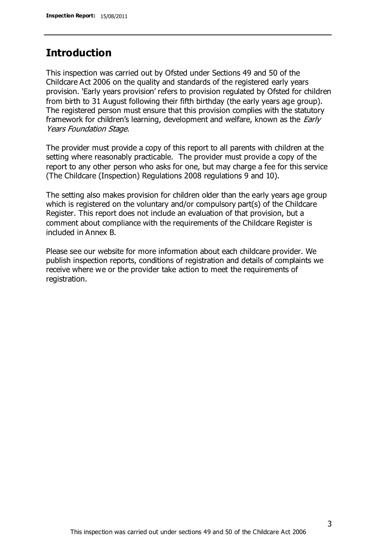## **Introduction**

This inspection was carried out by Ofsted under Sections 49 and 50 of the Childcare Act 2006 on the quality and standards of the registered early years provision. 'Early years provision' refers to provision regulated by Ofsted for children from birth to 31 August following their fifth birthday (the early years age group). The registered person must ensure that this provision complies with the statutory framework for children's learning, development and welfare, known as the *Early* Years Foundation Stage.

The provider must provide a copy of this report to all parents with children at the setting where reasonably practicable. The provider must provide a copy of the report to any other person who asks for one, but may charge a fee for this service (The Childcare (Inspection) Regulations 2008 regulations 9 and 10).

The setting also makes provision for children older than the early years age group which is registered on the voluntary and/or compulsory part(s) of the Childcare Register. This report does not include an evaluation of that provision, but a comment about compliance with the requirements of the Childcare Register is included in Annex B.

Please see our website for more information about each childcare provider. We publish inspection reports, conditions of registration and details of complaints we receive where we or the provider take action to meet the requirements of registration.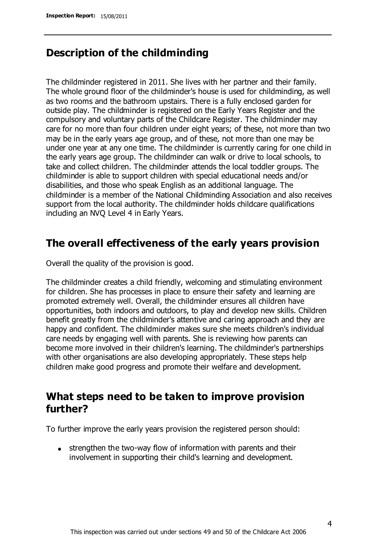## **Description of the childminding**

The childminder registered in 2011. She lives with her partner and their family. The whole ground floor of the childminder's house is used for childminding, as well as two rooms and the bathroom upstairs. There is a fully enclosed garden for outside play. The childminder is registered on the Early Years Register and the compulsory and voluntary parts of the Childcare Register. The childminder may care for no more than four children under eight years; of these, not more than two may be in the early years age group, and of these, not more than one may be under one year at any one time. The childminder is currently caring for one child in the early years age group. The childminder can walk or drive to local schools, to take and collect children. The childminder attends the local toddler groups. The childminder is able to support children with special educational needs and/or disabilities, and those who speak English as an additional language. The childminder is a member of the National Childminding Association and also receives support from the local authority. The childminder holds childcare qualifications including an NVQ Level 4 in Early Years.

### **The overall effectiveness of the early years provision**

Overall the quality of the provision is good.

The childminder creates a child friendly, welcoming and stimulating environment for children. She has processes in place to ensure their safety and learning are promoted extremely well. Overall, the childminder ensures all children have opportunities, both indoors and outdoors, to play and develop new skills. Children benefit greatly from the childminder's attentive and caring approach and they are happy and confident. The childminder makes sure she meets children's individual care needs by engaging well with parents. She is reviewing how parents can become more involved in their children's learning. The childminder's partnerships with other organisations are also developing appropriately. These steps help children make good progress and promote their welfare and development.

# **What steps need to be taken to improve provision further?**

To further improve the early years provision the registered person should:

• strengthen the two-way flow of information with parents and their involvement in supporting their child's learning and development.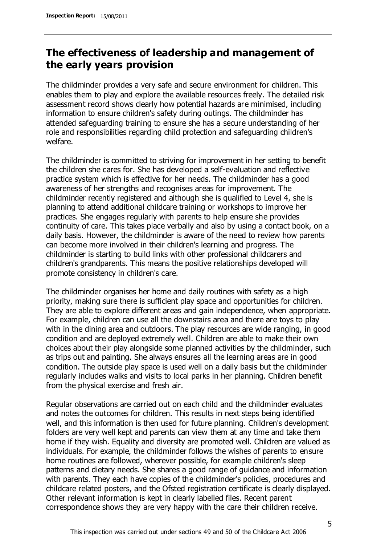# **The effectiveness of leadership and management of the early years provision**

The childminder provides a very safe and secure environment for children. This enables them to play and explore the available resources freely. The detailed risk assessment record shows clearly how potential hazards are minimised, including information to ensure children's safety during outings. The childminder has attended safeguarding training to ensure she has a secure understanding of her role and responsibilities regarding child protection and safeguarding children's welfare.

The childminder is committed to striving for improvement in her setting to benefit the children she cares for. She has developed a self-evaluation and reflective practice system which is effective for her needs. The childminder has a good awareness of her strengths and recognises areas for improvement. The childminder recently registered and although she is qualified to Level 4, she is planning to attend additional childcare training or workshops to improve her practices. She engages regularly with parents to help ensure she provides continuity of care. This takes place verbally and also by using a contact book, on a daily basis. However, the childminder is aware of the need to review how parents can become more involved in their children's learning and progress. The childminder is starting to build links with other professional childcarers and children's grandparents. This means the positive relationships developed will promote consistency in children's care.

The childminder organises her home and daily routines with safety as a high priority, making sure there is sufficient play space and opportunities for children. They are able to explore different areas and gain independence, when appropriate. For example, children can use all the downstairs area and there are toys to play with in the dining area and outdoors. The play resources are wide ranging, in good condition and are deployed extremely well. Children are able to make their own choices about their play alongside some planned activities by the childminder, such as trips out and painting. She always ensures all the learning areas are in good condition. The outside play space is used well on a daily basis but the childminder regularly includes walks and visits to local parks in her planning. Children benefit from the physical exercise and fresh air.

Regular observations are carried out on each child and the childminder evaluates and notes the outcomes for children. This results in next steps being identified well, and this information is then used for future planning. Children's development folders are very well kept and parents can view them at any time and take them home if they wish. Equality and diversity are promoted well. Children are valued as individuals. For example, the childminder follows the wishes of parents to ensure home routines are followed, wherever possible, for example children's sleep patterns and dietary needs. She shares a good range of guidance and information with parents. They each have copies of the childminder's policies, procedures and childcare related posters, and the Ofsted registration certificate is clearly displayed. Other relevant information is kept in clearly labelled files. Recent parent correspondence shows they are very happy with the care their children receive.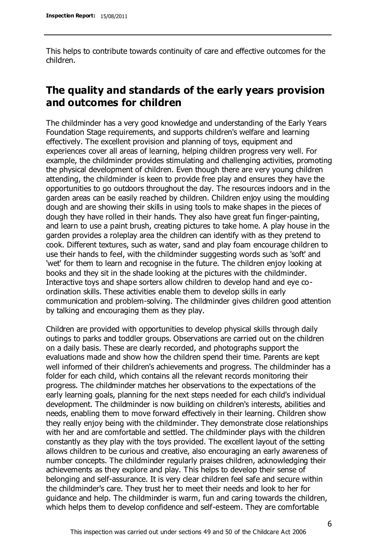This helps to contribute towards continuity of care and effective outcomes for the children.

# **The quality and standards of the early years provision and outcomes for children**

The childminder has a very good knowledge and understanding of the Early Years Foundation Stage requirements, and supports children's welfare and learning effectively. The excellent provision and planning of toys, equipment and experiences cover all areas of learning, helping children progress very well. For example, the childminder provides stimulating and challenging activities, promoting the physical development of children. Even though there are very young children attending, the childminder is keen to provide free play and ensures they have the opportunities to go outdoors throughout the day. The resources indoors and in the garden areas can be easily reached by children. Children enjoy using the moulding dough and are showing their skills in using tools to make shapes in the pieces of dough they have rolled in their hands. They also have great fun finger-painting, and learn to use a paint brush, creating pictures to take home. A play house in the garden provides a roleplay area the children can identify with as they pretend to cook. Different textures, such as water, sand and play foam encourage children to use their hands to feel, with the childminder suggesting words such as 'soft' and 'wet' for them to learn and recognise in the future. The children enjoy looking at books and they sit in the shade looking at the pictures with the childminder. Interactive toys and shape sorters allow children to develop hand and eye coordination skills. These activities enable them to develop skills in early communication and problem-solving. The childminder gives children good attention by talking and encouraging them as they play.

Children are provided with opportunities to develop physical skills through daily outings to parks and toddler groups. Observations are carried out on the children on a daily basis. These are clearly recorded, and photographs support the evaluations made and show how the children spend their time. Parents are kept well informed of their children's achievements and progress. The childminder has a folder for each child, which contains all the relevant records monitoring their progress. The childminder matches her observations to the expectations of the early learning goals, planning for the next steps needed for each child's individual development. The childminder is now building on children's interests, abilities and needs, enabling them to move forward effectively in their learning. Children show they really enjoy being with the childminder. They demonstrate close relationships with her and are comfortable and settled. The childminder plays with the children constantly as they play with the toys provided. The excellent layout of the setting allows children to be curious and creative, also encouraging an early awareness of number concepts. The childminder regularly praises children, acknowledging their achievements as they explore and play. This helps to develop their sense of belonging and self-assurance. It is very clear children feel safe and secure within the childminder's care. They trust her to meet their needs and look to her for guidance and help. The childminder is warm, fun and caring towards the children, which helps them to develop confidence and self-esteem. They are comfortable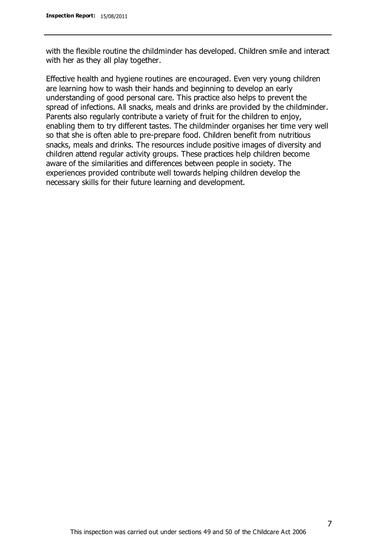with the flexible routine the childminder has developed. Children smile and interact with her as they all play together.

Effective health and hygiene routines are encouraged. Even very young children are learning how to wash their hands and beginning to develop an early understanding of good personal care. This practice also helps to prevent the spread of infections. All snacks, meals and drinks are provided by the childminder. Parents also regularly contribute a variety of fruit for the children to enjoy, enabling them to try different tastes. The childminder organises her time very well so that she is often able to pre-prepare food. Children benefit from nutritious snacks, meals and drinks. The resources include positive images of diversity and children attend regular activity groups. These practices help children become aware of the similarities and differences between people in society. The experiences provided contribute well towards helping children develop the necessary skills for their future learning and development.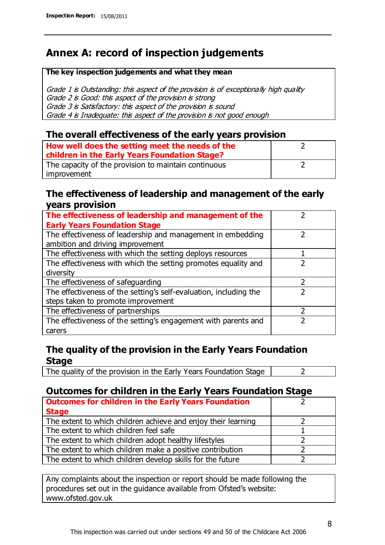# **Annex A: record of inspection judgements**

#### **The key inspection judgements and what they mean**

Grade 1 is Outstanding: this aspect of the provision is of exceptionally high quality Grade 2 is Good: this aspect of the provision is strong Grade 3 is Satisfactory: this aspect of the provision is sound Grade 4 is Inadequate: this aspect of the provision is not good enough

#### **The overall effectiveness of the early years provision**

| How well does the setting meet the needs of the<br>children in the Early Years Foundation Stage? |  |
|--------------------------------------------------------------------------------------------------|--|
| The capacity of the provision to maintain continuous                                             |  |
| improvement                                                                                      |  |

#### **The effectiveness of leadership and management of the early years provision**

| The effectiveness of leadership and management of the             |  |
|-------------------------------------------------------------------|--|
| <b>Early Years Foundation Stage</b>                               |  |
| The effectiveness of leadership and management in embedding       |  |
| ambition and driving improvement                                  |  |
| The effectiveness with which the setting deploys resources        |  |
| The effectiveness with which the setting promotes equality and    |  |
| diversity                                                         |  |
| The effectiveness of safeguarding                                 |  |
| The effectiveness of the setting's self-evaluation, including the |  |
| steps taken to promote improvement                                |  |
| The effectiveness of partnerships                                 |  |
| The effectiveness of the setting's engagement with parents and    |  |
| carers                                                            |  |

### **The quality of the provision in the Early Years Foundation Stage**

The quality of the provision in the Early Years Foundation Stage  $\vert$  2

### **Outcomes for children in the Early Years Foundation Stage**

| <b>Outcomes for children in the Early Years Foundation</b>    |  |
|---------------------------------------------------------------|--|
| <b>Stage</b>                                                  |  |
| The extent to which children achieve and enjoy their learning |  |
| The extent to which children feel safe                        |  |
| The extent to which children adopt healthy lifestyles         |  |
| The extent to which children make a positive contribution     |  |
| The extent to which children develop skills for the future    |  |

Any complaints about the inspection or report should be made following the procedures set out in the guidance available from Ofsted's website: www.ofsted.gov.uk